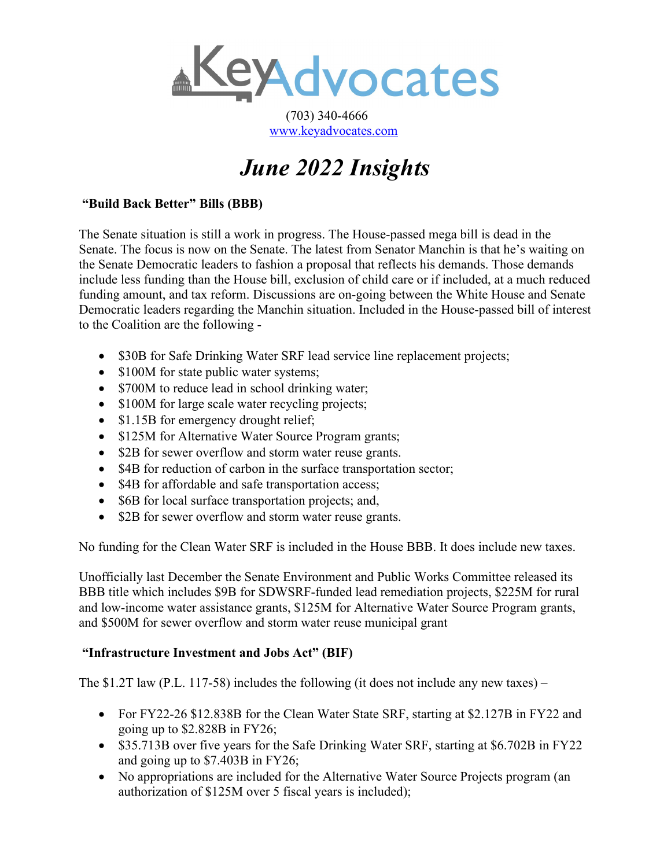

 (703) 340-4666 [www.keyadvocates.com](http://www.keyadvocates.com/)

# *June 2022 Insights*

## **"Build Back Better" Bills (BBB)**

The Senate situation is still a work in progress. The House-passed mega bill is dead in the Senate. The focus is now on the Senate. The latest from Senator Manchin is that he's waiting on the Senate Democratic leaders to fashion a proposal that reflects his demands. Those demands include less funding than the House bill, exclusion of child care or if included, at a much reduced funding amount, and tax reform. Discussions are on-going between the White House and Senate Democratic leaders regarding the Manchin situation. Included in the House-passed bill of interest to the Coalition are the following -

- \$30B for Safe Drinking Water SRF lead service line replacement projects;
- \$100M for state public water systems;
- \$700M to reduce lead in school drinking water;
- \$100M for large scale water recycling projects;
- \$1.15B for emergency drought relief;
- \$125M for Alternative Water Source Program grants;
- \$2B for sewer overflow and storm water reuse grants.
- \$4B for reduction of carbon in the surface transportation sector;
- \$4B for affordable and safe transportation access;
- \$6B for local surface transportation projects; and,
- \$2B for sewer overflow and storm water reuse grants.

No funding for the Clean Water SRF is included in the House BBB. It does include new taxes.

Unofficially last December the Senate Environment and Public Works Committee released its BBB title which includes \$9B for SDWSRF-funded lead remediation projects, \$225M for rural and low-income water assistance grants, \$125M for Alternative Water Source Program grants, and \$500M for sewer overflow and storm water reuse municipal grant

## **"Infrastructure Investment and Jobs Act" (BIF)**

The  $$1.2T$  law (P.L. 117-58) includes the following (it does not include any new taxes) –

- For FY22-26 \$12.838B for the Clean Water State SRF, starting at \$2.127B in FY22 and going up to \$2.828B in FY26;
- \$35.713B over five years for the Safe Drinking Water SRF, starting at \$6.702B in FY22 and going up to \$7.403B in FY26;
- No appropriations are included for the Alternative Water Source Projects program (an authorization of \$125M over 5 fiscal years is included);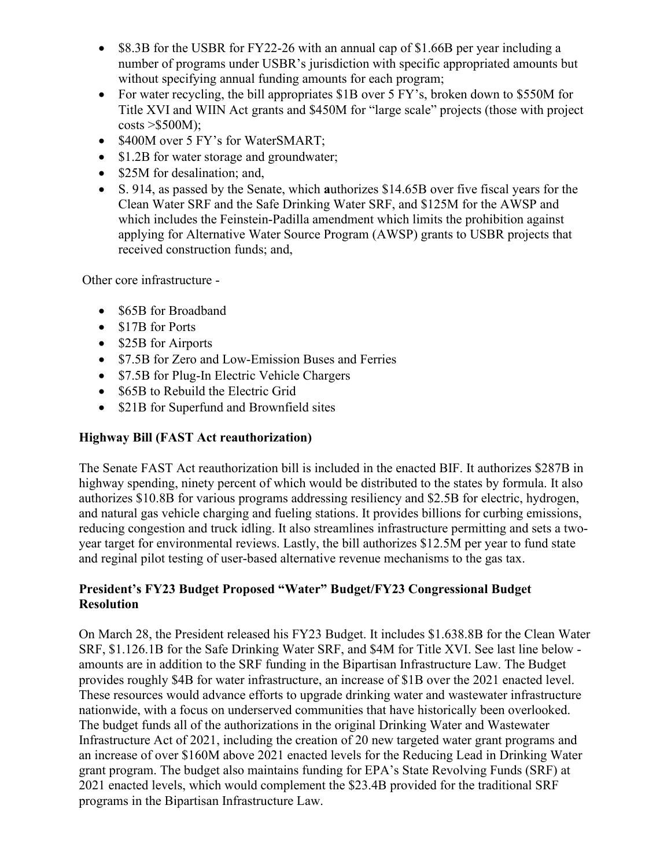- \$8.3B for the USBR for FY22-26 with an annual cap of \$1.66B per year including a number of programs under USBR's jurisdiction with specific appropriated amounts but without specifying annual funding amounts for each program;
- For water recycling, the bill appropriates \$1B over 5 FY's, broken down to \$550M for Title XVI and WIIN Act grants and \$450M for "large scale" projects (those with project  $costs > $500M$ ;
- \$400M over 5 FY's for WaterSMART;
- \$1.2B for water storage and groundwater;
- \$25M for desalination; and,
- S. 914, as passed by the Senate, which **a**uthorizes \$14.65B over five fiscal years for the Clean Water SRF and the Safe Drinking Water SRF, and \$125M for the AWSP and which includes the Feinstein-Padilla amendment which limits the prohibition against applying for Alternative Water Source Program (AWSP) grants to USBR projects that received construction funds; and,

Other core infrastructure -

- \$65B for Broadband
- \$17B for Ports
- \$25B for Airports
- \$7.5B for Zero and Low-Emission Buses and Ferries
- \$7.5B for Plug-In Electric Vehicle Chargers
- \$65B to Rebuild the Electric Grid
- \$21B for Superfund and Brownfield sites

#### **Highway Bill (FAST Act reauthorization)**

The Senate FAST Act reauthorization bill is included in the enacted BIF. It authorizes \$287B in highway spending, ninety percent of which would be distributed to the states by formula. It also authorizes \$10.8B for various programs addressing resiliency and \$2.5B for electric, hydrogen, and natural gas vehicle charging and fueling stations. It provides billions for curbing emissions, reducing congestion and truck idling. It also streamlines infrastructure permitting and sets a twoyear target for environmental reviews. Lastly, the bill authorizes \$12.5M per year to fund state and reginal pilot testing of user-based alternative revenue mechanisms to the gas tax.

#### **President's FY23 Budget Proposed "Water" Budget/FY23 Congressional Budget Resolution**

On March 28, the President released his FY23 Budget. It includes \$1.638.8B for the Clean Water SRF, \$1.126.1B for the Safe Drinking Water SRF, and \$4M for Title XVI. See last line below amounts are in addition to the SRF funding in the Bipartisan Infrastructure Law. The Budget provides roughly \$4B for water infrastructure, an increase of \$1B over the 2021 enacted level. These resources would advance efforts to upgrade drinking water and wastewater infrastructure nationwide, with a focus on underserved communities that have historically been overlooked. The budget funds all of the authorizations in the original Drinking Water and Wastewater Infrastructure Act of 2021, including the creation of 20 new targeted water grant programs and an increase of over \$160M above 2021 enacted levels for the Reducing Lead in Drinking Water grant program. The budget also maintains funding for EPA's State Revolving Funds (SRF) at 2021 enacted levels, which would complement the \$23.4B provided for the traditional SRF programs in the Bipartisan Infrastructure Law.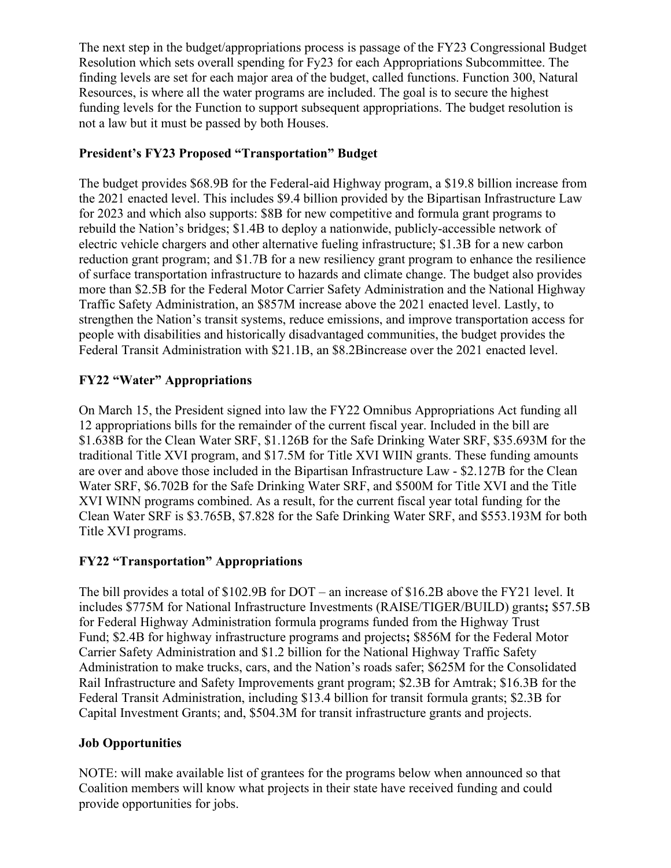The next step in the budget/appropriations process is passage of the FY23 Congressional Budget Resolution which sets overall spending for Fy23 for each Appropriations Subcommittee. The finding levels are set for each major area of the budget, called functions. Function 300, Natural Resources, is where all the water programs are included. The goal is to secure the highest funding levels for the Function to support subsequent appropriations. The budget resolution is not a law but it must be passed by both Houses.

## **President's FY23 Proposed "Transportation" Budget**

The budget provides \$68.9B for the Federal-aid Highway program, a \$19.8 billion increase from the 2021 enacted level. This includes \$9.4 billion provided by the Bipartisan Infrastructure Law for 2023 and which also supports: \$8B for new competitive and formula grant programs to rebuild the Nation's bridges; \$1.4B to deploy a nationwide, publicly-accessible network of electric vehicle chargers and other alternative fueling infrastructure; \$1.3B for a new carbon reduction grant program; and \$1.7B for a new resiliency grant program to enhance the resilience of surface transportation infrastructure to hazards and climate change. The budget also provides more than \$2.5B for the Federal Motor Carrier Safety Administration and the National Highway Traffic Safety Administration, an \$857M increase above the 2021 enacted level. Lastly, to strengthen the Nation's transit systems, reduce emissions, and improve transportation access for people with disabilities and historically disadvantaged communities, the budget provides the Federal Transit Administration with \$21.1B, an \$8.2Bincrease over the 2021 enacted level.

### **FY22 "Water" Appropriations**

On March 15, the President signed into law the FY22 Omnibus Appropriations Act funding all 12 appropriations bills for the remainder of the current fiscal year. Included in the bill are \$1.638B for the Clean Water SRF, \$1.126B for the Safe Drinking Water SRF, \$35.693M for the traditional Title XVI program, and \$17.5M for Title XVI WIIN grants. These funding amounts are over and above those included in the Bipartisan Infrastructure Law - \$2.127B for the Clean Water SRF, \$6.702B for the Safe Drinking Water SRF, and \$500M for Title XVI and the Title XVI WINN programs combined. As a result, for the current fiscal year total funding for the Clean Water SRF is \$3.765B, \$7.828 for the Safe Drinking Water SRF, and \$553.193M for both Title XVI programs.

#### **FY22 "Transportation" Appropriations**

The bill provides a total of \$102.9B for DOT – an increase of \$16.2B above the FY21 level. It includes \$775M for National Infrastructure Investments (RAISE/TIGER/BUILD) grants**;** \$57.5B for Federal Highway Administration formula programs funded from the Highway Trust Fund; \$2.4B for highway infrastructure programs and projects**;** \$856M for the Federal Motor Carrier Safety Administration and \$1.2 billion for the National Highway Traffic Safety Administration to make trucks, cars, and the Nation's roads safer; \$625M for the Consolidated Rail Infrastructure and Safety Improvements grant program; \$2.3B for Amtrak; \$16.3B for the Federal Transit Administration, including \$13.4 billion for transit formula grants; \$2.3B for Capital Investment Grants; and, \$504.3M for transit infrastructure grants and projects.

#### **Job Opportunities**

NOTE: will make available list of grantees for the programs below when announced so that Coalition members will know what projects in their state have received funding and could provide opportunities for jobs.